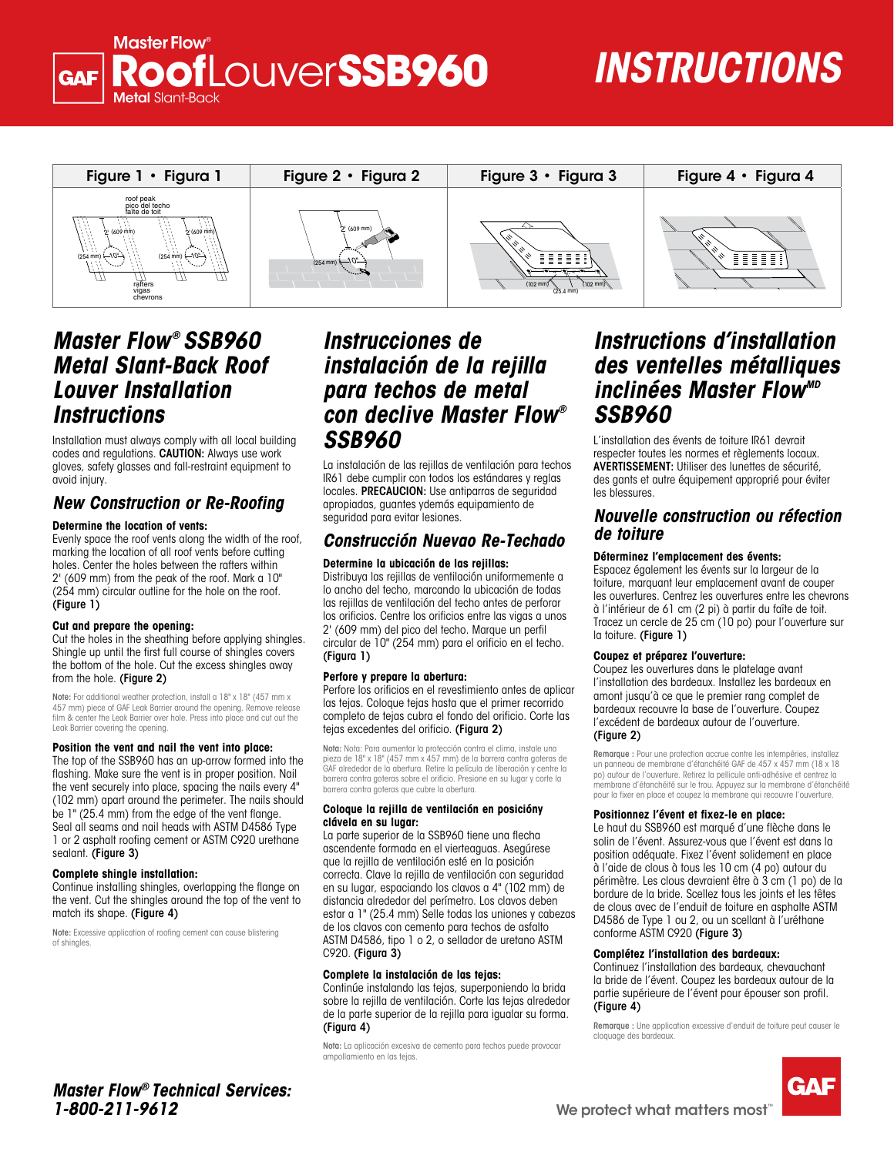### NGSTERING TO UNAT**SSB960 New Construction**  Metal Slant-Back **Roof**Louver**SSB960 Master Flow**

2'

2'

#### **SOCAUTIONS** gloves and other equipment to avoid in the second interest of the second interest of the second interest of th seguridad apropiadas, guantes ydemás equipamiento de seguridad para evitar lesiones. **TRUCTIONS** 10"

**o Re-Techado**

 $\mathcal{L}_{\mathcal{A}}$  the sheathing sheathing sheathing shingles. Shingles shingles. Shingles up that shingle up the shingle up that

respecter toutes les normes et règlements locaux.

Position the vent and nail the vent into place:

SSB960 debe cumplir con todos los estándares y



**or Re-Roofing**

# *Master Flow ® SSB960*  2' **Metal Slant-Back Roof** *Louver Installation*  **Instructions**

Installation must always comply with all local building codes and regulations. CAUTION: Always use work gloves, safety glasses and fall-restraint equipment to avoid injury.

## **New Construction or Re-Roofing**

### **Determine the location of vents:**

**Eventume the recenter of venter**<br>Evenly space the roof vents along the width of the roof, **Constr** marking the location of all roof vents before cutting **(Figure 4)** holes. Center the holes between the rafters within 2' (609 mm) from the peak of the roof. Mark a 10" (254 mm) circular outline for the hole on the roof.<br>"**Figure 1** (Figure 1)

#### **Cut and prepare the opening:**

Cut the holes in the sheathing before applying shingles. Shingle up until the first full course of shingles covers shingle up unlil ine first full course of shingles covers<br>the bottom of the hole. Cut the excess shingles away me behoff of me hole. San<br>from the hole. (Figure 2)

Note: For additional weather protection, install a 18" x 18" (457 mm x 457 mm) piece of GAF Leak Barrier around the opening. Remove release film & center the Leak Barrier over hole. Press into place and cut out the Leak Barrier covering the opening.

#### **Position the vent and nail the vent into place:**

The top of the SSB960 has an up-arrow formed into the flashing. Make sure the vent is in proper position. Nail the vent securely into place, spacing the nails every 4" (102 mm) apart around the perimeter. The nails should be 1" (25.4 mm) from the edge of the vent flange. Seal all seams and nail heads with ASTM D4586 Type 1 or 2 asphalt roofing cement or ASTM C920 urethane sealant. (Figure 3)

#### **Complete shingle installation:**

Continue installing shingles, overlapping the flange on the vent. Cut the shingles around the top of the vent to match its shape. (Figure 4)

Note: Excessive application of roofing cement can cause blistering of shingles.

#### *Instrucciones de* of *instalación de la rejilla* **blue remove rechos de metal para techos de metal** con declive Master Flow<sup>®</sup> SSB960 **SSB960**  $\mathbf{U}$ le la rejilla des ventelle cement, or waterproof caulking. **(Figure 3) Figure 3 • Figura 3** Cut the shine shine to match its shape.

ment to la instalación de las rejillas de ventilación para techos IR61 debe cumplir con todos los estándares y reglas and increases. PRECAUCION: Use antiparras de seguridad **fing** apropiadas, guantes ydemás equipamiento de seguridad para evitar lesiones.

## <sup>of the roof, **Construcción Nuevao Re-Techado <sup>ae for</sup></sup>**

#### **Determine la ubicación de las rejillas:** ges **Conon**<br>Reference

Distribuya las rejillas de ventilación uniformemente a lo ancho del techo, marcando la ubicación de todas las rejillas de ventilación del techo antes de perforar los orificios. Centre los orificios entre las vigas a unos 2' (609 mm) del pico del techo. Marque un perfil g shingles. circular de 10" (254 mm) para el orificio en el techo.<br><sup>Since 1</sup>886. <sup>ss covers</sup> (Figura 1)

#### **Perfore y prepare la abertura:**

reformed to the corporation and the corporation and the corporation antes de aplicar antes de aplicar antes de a<br>Alps Road, Wayne, NJ 0870 • 1361 Perfore los orificios en el revestimiento antes de aplicar amont jusqu'à co las tejas. Coloque tejas hasta que el primer recorrido completo de tejas cubra el fondo del orificio. Corte las tejas excedentes del orificio. (Figura 2)

> Nota: Nota: Para aumentar la protección contra el clima, instale una pieza de 18" x 18" (457 mm x 457 mm) de la barrera contra goteras de GAF alrededor de la abertura. Retire la película de liberación y centre la barrera contra goteras sobre el orificio. Presione en su lugar y corte la barrera contra goteras que cubre la abertura.

#### **Coloque la rejilla de ventilación en posicióny clávela en su lugar:**

La parte superior de la SSB960 tiene una flecha ascendente formada en el vierteaguas. Asegúrese que la rejilla de ventilación esté en la posición correcta. Clave la rejilla de ventilación con seguridad en su lugar, espaciando los clavos a 4" (102 mm) de distancia alrededor del perímetro. Los clavos deben estar a 1" (25.4 mm) Selle todas las uniones y cabezas de los clavos con cemento para techos de asfalto ASTM D4586, tipo 1 o 2, o sellador de uretano ASTM C920. (Figura 3)

#### **Complete la instalación de las tejas:**

Continúe instalando las tejas, superponiendo la brida sobre la rejilla de ventilación. Corte las tejas alrededor de la parte superior de la rejilla para igualar su forma. (Figura 4)

Nota: La aplicación excesiva de cemento para techos puede provocar ampollamiento en las tejas.

### s de Instructions d'installation *des ventelles métalliques* inclinées Master Flow<sup>mb</sup> **reference en su lugar y corte la película liberada, el película liberada, el película liberada, el película li** entelles métalliaues inclinées Master Flow"<sup>10</sup> ctions d'installation

L'installation des évents de toiture IR61 devrait respecter toutes les normes et règlements locaux. respositor regiones de normes en eggiormente recedant.<br>Os **AVERTISSEMENT:** Utiliser des lunettes de sécurité, en el vierte des la parte des la parte de souline.<br>La parte des gants et autre équipement approprié pour éviter les blessures. Correcta de ventilación correcta de ventilación con su en su en su **FENT:** OFfiser des furieries de securite,<br>Lautre équipement approprié pour éviter

# is equipamiento de **Mouvelle construction ou réfection**<br>de **taiture** de training de training evao Re-Techado de toiture

### **Déterminez l'emplacement des évents:** Complete la instalación de las tejas: ©2005 GAF Materials Corporation 8/05 • 1361 Alps Road, Wayne, NJ 07470 • Master Flow® Technical Services: **1-800-211-9612**

. Espacez également les évents sur la largeur de la <sup>1</sup> toiture, marquant leur emplacement avant de couper reiner, marque in compresentent availance couper à l'intérieur de 61 cm (2 pi) à partir du faîte de toit. Tracez un cercle de 25 cm (10 po) pour l'ouverture sur la toiture. (Figure 1)

### **Coupez et préparez l'ouverture:**

Coupez les ouvertures dans le platelage avant l'installation des bardeaux. Installez les bardeaux en amont jusqu'à ce que le premier rang complet de bardeaux recouvre la base de l'ouverture. Coupez l'excédent de bardeaux autour de l'ouverture. (Figure 2)

> Remarque : Pour une protection accrue contre les intempéries, installez un panneau de membrane d'étanchéité GAF de 457 x 457 mm (18 x 18 po) autour de l'ouverture. Retirez la pellicule anti-adhésive et centrez la membrane d'étanchéité sur le trou. Appuyez sur la membrane d'étanchéité pour la fixer en place et coupez la membrane qui recouvre l'ouverture.

#### **Positionnez l'évent et fixez-le en place:**

Le haut du SSB960 est marqué d'une flèche dans le solin de l'évent. Assurez-vous que l'évent est dans la position adéquate. Fixez l'évent solidement en place à l'aide de clous à tous les 10 cm (4 po) autour du périmètre. Les clous devraient être à 3 cm (1 po) de la bordure de la bride. Scellez tous les joints et les têtes de clous avec de l'enduit de toiture en asphalte ASTM D4586 de Type 1 ou 2, ou un scellant à l'uréthane conforme ASTM C920 (Figure 3)

#### **Complétez l'installation des bardeaux:**

Continuez l'installation des bardeaux, chevauchant la bride de l'évent. Coupez les bardeaux autour de la partie supérieure de l'évent pour épouser son profil. (Figure 4)

Remarque : Une application excessive d'enduit de toiture peut causer le cloquage des bardeaux.